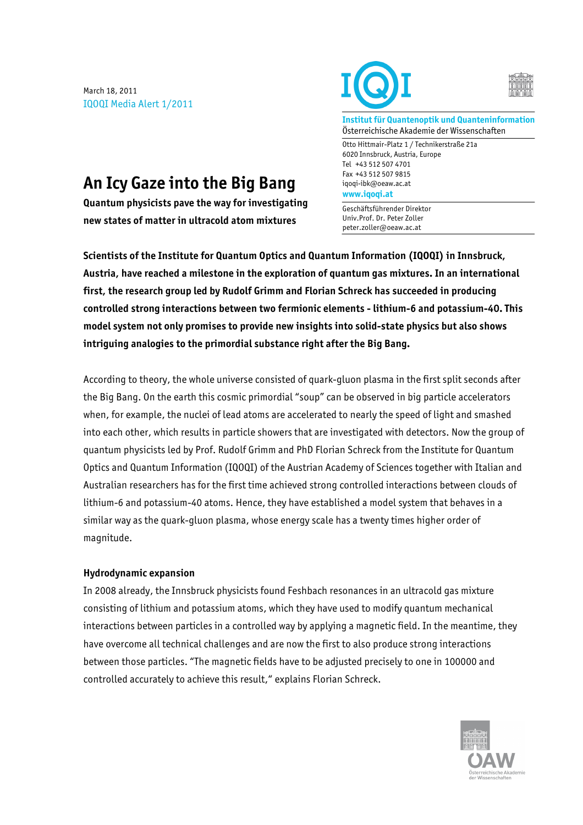March 18, 2011 IQOQI Media Alert 1/2011





**Institut für Quantenoptik und Quanteninformation** Österreichische Akademie der Wissenschaften

Otto Hittmair-Platz 1 / Technikerstraße 21a 6020 Innsbruck, Austria, Europe Tel +43 512 507 4701 Fax +43 512 507 9815 iqoqi-ibk@oeaw.ac.at **www.iqoqi.at**

Geschäftsführender Direktor Univ.Prof. Dr. Peter Zoller peter.zoller@oeaw.ac.at

# **An Icy Gaze into the Big Bang**

**Quantum physicists pave the way for investigating new states of matter in ultracold atom mixtures**

**Scientists of the Institute for Quantum Optics and Quantum Information (IQOQI) in Innsbruck, Austria, have reached a milestone in the exploration of quantum gas mixtures. In an international first, the research group led by Rudolf Grimm and Florian Schreck has succeeded in producing controlled strong interactions between two fermionic elements - lithium-6 and potassium-40. This model system not only promises to provide new insights into solid-state physics but also shows intriguing analogies to the primordial substance right after the Big Bang.**

According to theory, the whole universe consisted of quark-gluon plasma in the first split seconds after the Big Bang. On the earth this cosmic primordial "soup" can be observed in big particle accelerators when, for example, the nuclei of lead atoms are accelerated to nearly the speed of light and smashed into each other, which results in particle showers that are investigated with detectors. Now the group of quantum physicists led by Prof. Rudolf Grimm and PhD Florian Schreck from the Institute for Quantum Optics and Quantum Information (IQOQI) of the Austrian Academy of Sciences together with Italian and Australian researchers has for the first time achieved strong controlled interactions between clouds of lithium-6 and potassium-40 atoms. Hence, they have established a model system that behaves in a similar way as the quark-gluon plasma, whose energy scale has a twenty times higher order of magnitude.

# **Hydrodynamic expansion**

In 2008 already, the Innsbruck physicists found Feshbach resonances in an ultracold gas mixture consisting of lithium and potassium atoms, which they have used to modify quantum mechanical interactions between particles in a controlled way by applying a magnetic field. In the meantime, they have overcome all technical challenges and are now the first to also produce strong interactions between those particles. "The magnetic fields have to be adjusted precisely to one in 100000 and controlled accurately to achieve this result," explains Florian Schreck.

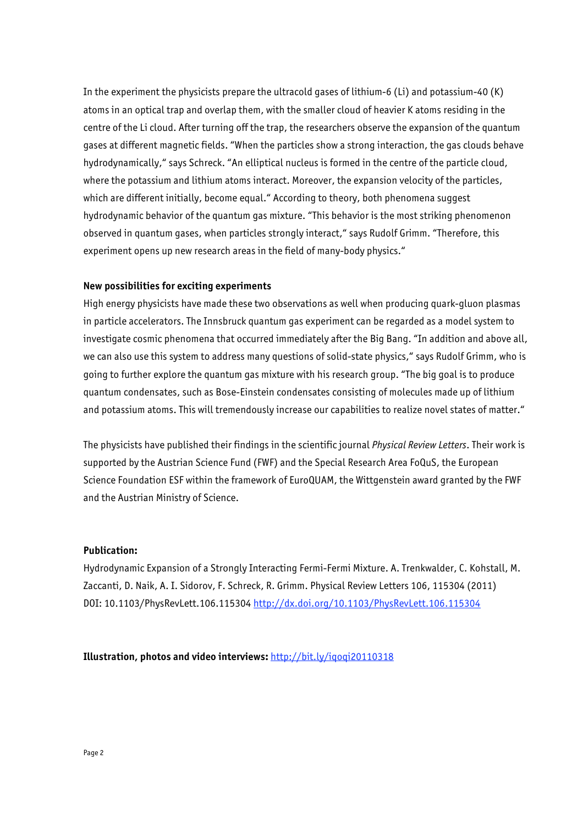In the experiment the physicists prepare the ultracold gases of lithium-6 (Li) and potassium-40 (K) atoms in an optical trap and overlap them, with the smaller cloud of heavier K atoms residing in the centre of the Li cloud. After turning off the trap, the researchers observe the expansion of the quantum gases at different magnetic fields. "When the particles show a strong interaction, the gas clouds behave hydrodynamically," says Schreck. "An elliptical nucleus is formed in the centre of the particle cloud, where the potassium and lithium atoms interact. Moreover, the expansion velocity of the particles, which are different initially, become equal." According to theory, both phenomena suggest hydrodynamic behavior of the quantum gas mixture. "This behavior is the most striking phenomenon observed in quantum gases, when particles strongly interact," says Rudolf Grimm. "Therefore, this experiment opens up new research areas in the field of many-body physics."

### **New possibilities for exciting experiments**

High energy physicists have made these two observations as well when producing quark-gluon plasmas in particle accelerators. The Innsbruck quantum gas experiment can be regarded as a model system to investigate cosmic phenomena that occurred immediately after the Big Bang. "In addition and above all, we can also use this system to address many questions of solid-state physics," says Rudolf Grimm, who is going to further explore the quantum gas mixture with his research group. "The big goal is to produce quantum condensates, such as Bose-Einstein condensates consisting of molecules made up of lithium and potassium atoms. This will tremendously increase our capabilities to realize novel states of matter."

The physicists have published their findings in the scientific journal *Physical Review Letters*. Their work is supported by the Austrian Science Fund (FWF) and the Special Research Area FoQuS, the European Science Foundation ESF within the framework of EuroQUAM, the Wittgenstein award granted by the FWF and the Austrian Ministry of Science.

#### **Publication:**

Hydrodynamic Expansion of a Strongly Interacting Fermi-Fermi Mixture. A. Trenkwalder, C. Kohstall, M. Zaccanti, D. Naik, A. I. Sidorov, F. Schreck, R. Grimm. Physical Review Letters 106, 115304 (2011) DOI: 10.1103/PhysRevLett.106.115304 http://dx.doi.org/10.1103/PhysRevLett.106.115304

**Illustration, photos and video interviews:** http://bit.ly/iqoqi20110318